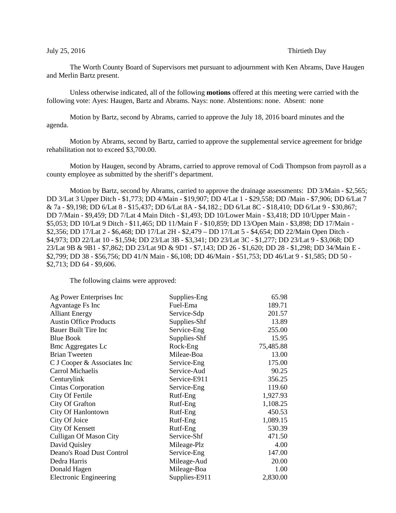## July 25, 2016 **Thirtieth Day**

The Worth County Board of Supervisors met pursuant to adjournment with Ken Abrams, Dave Haugen and Merlin Bartz present.

Unless otherwise indicated, all of the following **motions** offered at this meeting were carried with the following vote: Ayes: Haugen, Bartz and Abrams. Nays: none. Abstentions: none. Absent: none

Motion by Bartz, second by Abrams, carried to approve the July 18, 2016 board minutes and the agenda.

Motion by Abrams, second by Bartz, carried to approve the supplemental service agreement for bridge rehabilitation not to exceed \$3,700.00.

Motion by Haugen, second by Abrams, carried to approve removal of Codi Thompson from payroll as a county employee as submitted by the sheriff's department.

Motion by Bartz, second by Abrams, carried to approve the drainage assessments: DD 3/Main - \$2,565; DD 3/Lat 3 Upper Ditch - \$1,773; DD 4/Main - \$19,907; DD 4/Lat 1 - \$29,558; DD /Main - \$7,906; DD 6/Lat 7 & 7a - \$9,198; DD 6/Lat 8 - \$15,437; DD 6/Lat 8A - \$4,182.; DD 6/Lat 8C - \$18,410; DD 6/Lat 9 - \$30,867; DD 7/Main - \$9,459; DD 7/Lat 4 Main Ditch - \$1,493; DD 10/Lower Main - \$3,418; DD 10/Upper Main - \$5,053; DD 10/Lat 9 Ditch - \$11,465; DD 11/Main F - \$10,859; DD 13/Open Main - \$3,898; DD 17/Main - \$2,356; DD 17/Lat 2 - \$6,468; DD 17/Lat 2H - \$2,479 – DD 17/Lat 5 - \$4,654; DD 22/Main Open Ditch - \$4,973; DD 22/Lat 10 - \$1,594; DD 23/Lat 3B - \$3,341; DD 23/Lat 3C - \$1,277; DD 23/Lat 9 - \$3,068; DD 23/Lat 9B & 9B1 - \$7,862; DD 23/Lat 9D & 9D1 - \$7,143; DD 26 - \$1,620; DD 28 - \$1,298; DD 34/Main E - \$2,799; DD 38 - \$56,756; DD 41/N Main - \$6,108; DD 46/Main - \$51,753; DD 46/Lat 9 - \$1,585; DD 50 - \$2,713; DD 64 - \$9,606.

The following claims were approved:

| Ag Power Enterprises Inc      | Supplies-Eng  | 65.98     |
|-------------------------------|---------------|-----------|
| Agvantage Fs Inc              | Fuel-Ema      | 189.71    |
| <b>Alliant Energy</b>         | Service-Sdp   | 201.57    |
| <b>Austin Office Products</b> | Supplies-Shf  | 13.89     |
| <b>Bauer Built Tire Inc</b>   | Service-Eng   | 255.00    |
| <b>Blue Book</b>              | Supplies-Shf  | 15.95     |
| <b>Bmc Aggregates Lc</b>      | Rock-Eng      | 75,485.88 |
| <b>Brian Tweeten</b>          | Mileae-Boa    | 13.00     |
| C J Cooper & Associates Inc   | Service-Eng   | 175.00    |
| Carrol Michaelis              | Service-Aud   | 90.25     |
| Centurylink                   | Service-E911  | 356.25    |
| Cintas Corporation            | Service-Eng   | 119.60    |
| City Of Fertile               | Rutf-Eng      | 1,927.93  |
| City Of Grafton               | Rutf-Eng      | 1,108.25  |
| City Of Hanlontown            | Rutf-Eng      | 450.53    |
| City Of Joice                 | Rutf-Eng      | 1,089.15  |
| City Of Kensett               | Rutf-Eng      | 530.39    |
| <b>Culligan Of Mason City</b> | Service-Shf   | 471.50    |
| David Quisley                 | Mileage-Plz   | 4.00      |
| Deano's Road Dust Control     | Service-Eng   | 147.00    |
| Dedra Harris                  | Mileage-Aud   | 20.00     |
| Donald Hagen                  | Mileage-Boa   | 1.00      |
| <b>Electronic Engineering</b> | Supplies-E911 | 2,830.00  |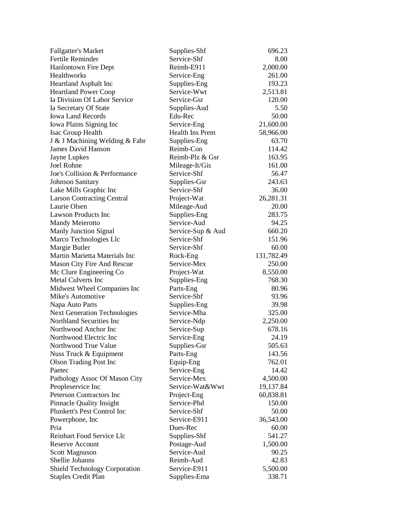| Service-Shf<br>8.00<br>Reimb-E911<br>2,000.00<br>261.00<br>Service-Eng<br>Supplies-Eng<br>193.23<br>Service-Wwt<br>2,513.81<br>120.00<br>Service-Gsr<br>5.50<br>Supplies-Aud<br>50.00<br>Edu-Rec<br>21,600.00<br>Service-Eng<br>Health Ins Prem<br>58,966.00<br>Supplies-Eng<br>63.70<br>Reimb-Con<br>114.42<br>Reimb-Plz & Gsr<br>163.95<br>Jayne Lupkes<br>161.00<br>Mileage-It/Gis<br>Service-Shf<br>56.47<br>243.63<br>Supplies-Gsr<br><b>Johnson Sanitary</b><br>Service-Shf<br>36.00<br>Lake Mills Graphic Inc<br>Project-Wat<br>26,281.31<br><b>Larson Contracting Central</b><br>Mileage-Aud<br>20.00<br>Supplies-Eng<br>283.75<br><b>Mandy Meierotto</b><br>Service-Aud<br>94.25<br>660.20<br><b>Manly Junction Signal</b><br>Service-Sup & Aud<br>Marco Technologies Llc<br>Service-Shf<br>151.96<br>Margie Butler<br>Service-Shf<br>60.00<br>Martin Marietta Materials Inc<br>131,782.49<br>Rock-Eng<br>Mason City Fire And Rescue<br>Service-Mex<br>250.00<br>8,550.00<br>Mc Clure Engineering Co<br>Project-Wat<br>768.30<br><b>Metal Culverts Inc</b><br>Supplies-Eng<br>Midwest Wheel Companies Inc<br>80.96<br>Parts-Eng<br>Service-Shf<br>Mike's Automotive<br>93.96<br>Supplies-Eng<br>39.98<br>Napa Auto Parts<br><b>Next Generation Technologies</b><br>Service-Mha<br>325.00<br>Northland Securities Inc<br>Service-Ndp<br>2,250.00<br>678.16<br>Northwood Anchor Inc<br>Service-Sup<br>Northwood Electric Inc<br>24.19<br>Service-Eng<br>Northwood True Value<br>Supplies-Gsr<br>505.63<br>Nuss Truck & Equipment<br>143.56<br>Parts-Eng<br>Equip-Eng<br>762.01<br><b>Olson Trading Post Inc</b><br>Service-Eng<br>14.42<br>Pathology Assoc Of Mason City<br>Service-Mex<br>4,500.00<br>Service-Wat&Wwt<br>19,137.84<br>Peopleservice Inc<br>Peterson Contractors Inc<br>60,838.81<br>Project-Eng<br>Service-Phd<br>150.00<br><b>Pinnacle Quality Insight</b><br>Plunkett's Pest Control Inc<br>Service-Shf<br>50.00<br>Service-E911<br>36,543.00<br>Powerphone, Inc.<br>Dues-Rec<br>Pria<br>60.00<br>Supplies-Shf<br>Reinhart Food Service Llc<br>541.27<br><b>Reserve Account</b><br>Postage-Aud<br>1,500.00<br>Service-Aud<br><b>Scott Magnuson</b><br>90.25<br>Shellie Johanns<br>Reimb-Aud<br>42.83 | <b>Fallgatter's Market</b>           | Supplies-Shf | 696.23   |
|--------------------------------------------------------------------------------------------------------------------------------------------------------------------------------------------------------------------------------------------------------------------------------------------------------------------------------------------------------------------------------------------------------------------------------------------------------------------------------------------------------------------------------------------------------------------------------------------------------------------------------------------------------------------------------------------------------------------------------------------------------------------------------------------------------------------------------------------------------------------------------------------------------------------------------------------------------------------------------------------------------------------------------------------------------------------------------------------------------------------------------------------------------------------------------------------------------------------------------------------------------------------------------------------------------------------------------------------------------------------------------------------------------------------------------------------------------------------------------------------------------------------------------------------------------------------------------------------------------------------------------------------------------------------------------------------------------------------------------------------------------------------------------------------------------------------------------------------------------------------------------------------------------------------------------------------------------------------------------------------------------------------------------------------------------------------------------------------------------------------------------------------------------------------------------------------------------------------------------|--------------------------------------|--------------|----------|
|                                                                                                                                                                                                                                                                                                                                                                                                                                                                                                                                                                                                                                                                                                                                                                                                                                                                                                                                                                                                                                                                                                                                                                                                                                                                                                                                                                                                                                                                                                                                                                                                                                                                                                                                                                                                                                                                                                                                                                                                                                                                                                                                                                                                                                | Fertile Reminder                     |              |          |
|                                                                                                                                                                                                                                                                                                                                                                                                                                                                                                                                                                                                                                                                                                                                                                                                                                                                                                                                                                                                                                                                                                                                                                                                                                                                                                                                                                                                                                                                                                                                                                                                                                                                                                                                                                                                                                                                                                                                                                                                                                                                                                                                                                                                                                | <b>Hanlontown Fire Dept</b>          |              |          |
|                                                                                                                                                                                                                                                                                                                                                                                                                                                                                                                                                                                                                                                                                                                                                                                                                                                                                                                                                                                                                                                                                                                                                                                                                                                                                                                                                                                                                                                                                                                                                                                                                                                                                                                                                                                                                                                                                                                                                                                                                                                                                                                                                                                                                                | Healthworks                          |              |          |
|                                                                                                                                                                                                                                                                                                                                                                                                                                                                                                                                                                                                                                                                                                                                                                                                                                                                                                                                                                                                                                                                                                                                                                                                                                                                                                                                                                                                                                                                                                                                                                                                                                                                                                                                                                                                                                                                                                                                                                                                                                                                                                                                                                                                                                | <b>Heartland Asphalt Inc</b>         |              |          |
|                                                                                                                                                                                                                                                                                                                                                                                                                                                                                                                                                                                                                                                                                                                                                                                                                                                                                                                                                                                                                                                                                                                                                                                                                                                                                                                                                                                                                                                                                                                                                                                                                                                                                                                                                                                                                                                                                                                                                                                                                                                                                                                                                                                                                                | <b>Heartland Power Coop</b>          |              |          |
|                                                                                                                                                                                                                                                                                                                                                                                                                                                                                                                                                                                                                                                                                                                                                                                                                                                                                                                                                                                                                                                                                                                                                                                                                                                                                                                                                                                                                                                                                                                                                                                                                                                                                                                                                                                                                                                                                                                                                                                                                                                                                                                                                                                                                                | Ia Division Of Labor Service         |              |          |
|                                                                                                                                                                                                                                                                                                                                                                                                                                                                                                                                                                                                                                                                                                                                                                                                                                                                                                                                                                                                                                                                                                                                                                                                                                                                                                                                                                                                                                                                                                                                                                                                                                                                                                                                                                                                                                                                                                                                                                                                                                                                                                                                                                                                                                | Ia Secretary Of State                |              |          |
|                                                                                                                                                                                                                                                                                                                                                                                                                                                                                                                                                                                                                                                                                                                                                                                                                                                                                                                                                                                                                                                                                                                                                                                                                                                                                                                                                                                                                                                                                                                                                                                                                                                                                                                                                                                                                                                                                                                                                                                                                                                                                                                                                                                                                                | <b>Iowa Land Records</b>             |              |          |
|                                                                                                                                                                                                                                                                                                                                                                                                                                                                                                                                                                                                                                                                                                                                                                                                                                                                                                                                                                                                                                                                                                                                                                                                                                                                                                                                                                                                                                                                                                                                                                                                                                                                                                                                                                                                                                                                                                                                                                                                                                                                                                                                                                                                                                | Iowa Plains Signing Inc              |              |          |
|                                                                                                                                                                                                                                                                                                                                                                                                                                                                                                                                                                                                                                                                                                                                                                                                                                                                                                                                                                                                                                                                                                                                                                                                                                                                                                                                                                                                                                                                                                                                                                                                                                                                                                                                                                                                                                                                                                                                                                                                                                                                                                                                                                                                                                | Isac Group Health                    |              |          |
|                                                                                                                                                                                                                                                                                                                                                                                                                                                                                                                                                                                                                                                                                                                                                                                                                                                                                                                                                                                                                                                                                                                                                                                                                                                                                                                                                                                                                                                                                                                                                                                                                                                                                                                                                                                                                                                                                                                                                                                                                                                                                                                                                                                                                                | J & J Machining Welding & Fabr       |              |          |
|                                                                                                                                                                                                                                                                                                                                                                                                                                                                                                                                                                                                                                                                                                                                                                                                                                                                                                                                                                                                                                                                                                                                                                                                                                                                                                                                                                                                                                                                                                                                                                                                                                                                                                                                                                                                                                                                                                                                                                                                                                                                                                                                                                                                                                | James David Hanson                   |              |          |
|                                                                                                                                                                                                                                                                                                                                                                                                                                                                                                                                                                                                                                                                                                                                                                                                                                                                                                                                                                                                                                                                                                                                                                                                                                                                                                                                                                                                                                                                                                                                                                                                                                                                                                                                                                                                                                                                                                                                                                                                                                                                                                                                                                                                                                |                                      |              |          |
|                                                                                                                                                                                                                                                                                                                                                                                                                                                                                                                                                                                                                                                                                                                                                                                                                                                                                                                                                                                                                                                                                                                                                                                                                                                                                                                                                                                                                                                                                                                                                                                                                                                                                                                                                                                                                                                                                                                                                                                                                                                                                                                                                                                                                                | Joel Rohne                           |              |          |
|                                                                                                                                                                                                                                                                                                                                                                                                                                                                                                                                                                                                                                                                                                                                                                                                                                                                                                                                                                                                                                                                                                                                                                                                                                                                                                                                                                                                                                                                                                                                                                                                                                                                                                                                                                                                                                                                                                                                                                                                                                                                                                                                                                                                                                | Joe's Collision & Performance        |              |          |
|                                                                                                                                                                                                                                                                                                                                                                                                                                                                                                                                                                                                                                                                                                                                                                                                                                                                                                                                                                                                                                                                                                                                                                                                                                                                                                                                                                                                                                                                                                                                                                                                                                                                                                                                                                                                                                                                                                                                                                                                                                                                                                                                                                                                                                |                                      |              |          |
|                                                                                                                                                                                                                                                                                                                                                                                                                                                                                                                                                                                                                                                                                                                                                                                                                                                                                                                                                                                                                                                                                                                                                                                                                                                                                                                                                                                                                                                                                                                                                                                                                                                                                                                                                                                                                                                                                                                                                                                                                                                                                                                                                                                                                                |                                      |              |          |
|                                                                                                                                                                                                                                                                                                                                                                                                                                                                                                                                                                                                                                                                                                                                                                                                                                                                                                                                                                                                                                                                                                                                                                                                                                                                                                                                                                                                                                                                                                                                                                                                                                                                                                                                                                                                                                                                                                                                                                                                                                                                                                                                                                                                                                |                                      |              |          |
|                                                                                                                                                                                                                                                                                                                                                                                                                                                                                                                                                                                                                                                                                                                                                                                                                                                                                                                                                                                                                                                                                                                                                                                                                                                                                                                                                                                                                                                                                                                                                                                                                                                                                                                                                                                                                                                                                                                                                                                                                                                                                                                                                                                                                                | Laurie Olsen                         |              |          |
|                                                                                                                                                                                                                                                                                                                                                                                                                                                                                                                                                                                                                                                                                                                                                                                                                                                                                                                                                                                                                                                                                                                                                                                                                                                                                                                                                                                                                                                                                                                                                                                                                                                                                                                                                                                                                                                                                                                                                                                                                                                                                                                                                                                                                                | <b>Lawson Products Inc</b>           |              |          |
|                                                                                                                                                                                                                                                                                                                                                                                                                                                                                                                                                                                                                                                                                                                                                                                                                                                                                                                                                                                                                                                                                                                                                                                                                                                                                                                                                                                                                                                                                                                                                                                                                                                                                                                                                                                                                                                                                                                                                                                                                                                                                                                                                                                                                                |                                      |              |          |
|                                                                                                                                                                                                                                                                                                                                                                                                                                                                                                                                                                                                                                                                                                                                                                                                                                                                                                                                                                                                                                                                                                                                                                                                                                                                                                                                                                                                                                                                                                                                                                                                                                                                                                                                                                                                                                                                                                                                                                                                                                                                                                                                                                                                                                |                                      |              |          |
|                                                                                                                                                                                                                                                                                                                                                                                                                                                                                                                                                                                                                                                                                                                                                                                                                                                                                                                                                                                                                                                                                                                                                                                                                                                                                                                                                                                                                                                                                                                                                                                                                                                                                                                                                                                                                                                                                                                                                                                                                                                                                                                                                                                                                                |                                      |              |          |
|                                                                                                                                                                                                                                                                                                                                                                                                                                                                                                                                                                                                                                                                                                                                                                                                                                                                                                                                                                                                                                                                                                                                                                                                                                                                                                                                                                                                                                                                                                                                                                                                                                                                                                                                                                                                                                                                                                                                                                                                                                                                                                                                                                                                                                |                                      |              |          |
|                                                                                                                                                                                                                                                                                                                                                                                                                                                                                                                                                                                                                                                                                                                                                                                                                                                                                                                                                                                                                                                                                                                                                                                                                                                                                                                                                                                                                                                                                                                                                                                                                                                                                                                                                                                                                                                                                                                                                                                                                                                                                                                                                                                                                                |                                      |              |          |
|                                                                                                                                                                                                                                                                                                                                                                                                                                                                                                                                                                                                                                                                                                                                                                                                                                                                                                                                                                                                                                                                                                                                                                                                                                                                                                                                                                                                                                                                                                                                                                                                                                                                                                                                                                                                                                                                                                                                                                                                                                                                                                                                                                                                                                |                                      |              |          |
|                                                                                                                                                                                                                                                                                                                                                                                                                                                                                                                                                                                                                                                                                                                                                                                                                                                                                                                                                                                                                                                                                                                                                                                                                                                                                                                                                                                                                                                                                                                                                                                                                                                                                                                                                                                                                                                                                                                                                                                                                                                                                                                                                                                                                                |                                      |              |          |
|                                                                                                                                                                                                                                                                                                                                                                                                                                                                                                                                                                                                                                                                                                                                                                                                                                                                                                                                                                                                                                                                                                                                                                                                                                                                                                                                                                                                                                                                                                                                                                                                                                                                                                                                                                                                                                                                                                                                                                                                                                                                                                                                                                                                                                |                                      |              |          |
|                                                                                                                                                                                                                                                                                                                                                                                                                                                                                                                                                                                                                                                                                                                                                                                                                                                                                                                                                                                                                                                                                                                                                                                                                                                                                                                                                                                                                                                                                                                                                                                                                                                                                                                                                                                                                                                                                                                                                                                                                                                                                                                                                                                                                                |                                      |              |          |
|                                                                                                                                                                                                                                                                                                                                                                                                                                                                                                                                                                                                                                                                                                                                                                                                                                                                                                                                                                                                                                                                                                                                                                                                                                                                                                                                                                                                                                                                                                                                                                                                                                                                                                                                                                                                                                                                                                                                                                                                                                                                                                                                                                                                                                |                                      |              |          |
|                                                                                                                                                                                                                                                                                                                                                                                                                                                                                                                                                                                                                                                                                                                                                                                                                                                                                                                                                                                                                                                                                                                                                                                                                                                                                                                                                                                                                                                                                                                                                                                                                                                                                                                                                                                                                                                                                                                                                                                                                                                                                                                                                                                                                                |                                      |              |          |
|                                                                                                                                                                                                                                                                                                                                                                                                                                                                                                                                                                                                                                                                                                                                                                                                                                                                                                                                                                                                                                                                                                                                                                                                                                                                                                                                                                                                                                                                                                                                                                                                                                                                                                                                                                                                                                                                                                                                                                                                                                                                                                                                                                                                                                |                                      |              |          |
|                                                                                                                                                                                                                                                                                                                                                                                                                                                                                                                                                                                                                                                                                                                                                                                                                                                                                                                                                                                                                                                                                                                                                                                                                                                                                                                                                                                                                                                                                                                                                                                                                                                                                                                                                                                                                                                                                                                                                                                                                                                                                                                                                                                                                                |                                      |              |          |
|                                                                                                                                                                                                                                                                                                                                                                                                                                                                                                                                                                                                                                                                                                                                                                                                                                                                                                                                                                                                                                                                                                                                                                                                                                                                                                                                                                                                                                                                                                                                                                                                                                                                                                                                                                                                                                                                                                                                                                                                                                                                                                                                                                                                                                |                                      |              |          |
|                                                                                                                                                                                                                                                                                                                                                                                                                                                                                                                                                                                                                                                                                                                                                                                                                                                                                                                                                                                                                                                                                                                                                                                                                                                                                                                                                                                                                                                                                                                                                                                                                                                                                                                                                                                                                                                                                                                                                                                                                                                                                                                                                                                                                                |                                      |              |          |
|                                                                                                                                                                                                                                                                                                                                                                                                                                                                                                                                                                                                                                                                                                                                                                                                                                                                                                                                                                                                                                                                                                                                                                                                                                                                                                                                                                                                                                                                                                                                                                                                                                                                                                                                                                                                                                                                                                                                                                                                                                                                                                                                                                                                                                |                                      |              |          |
|                                                                                                                                                                                                                                                                                                                                                                                                                                                                                                                                                                                                                                                                                                                                                                                                                                                                                                                                                                                                                                                                                                                                                                                                                                                                                                                                                                                                                                                                                                                                                                                                                                                                                                                                                                                                                                                                                                                                                                                                                                                                                                                                                                                                                                |                                      |              |          |
|                                                                                                                                                                                                                                                                                                                                                                                                                                                                                                                                                                                                                                                                                                                                                                                                                                                                                                                                                                                                                                                                                                                                                                                                                                                                                                                                                                                                                                                                                                                                                                                                                                                                                                                                                                                                                                                                                                                                                                                                                                                                                                                                                                                                                                |                                      |              |          |
|                                                                                                                                                                                                                                                                                                                                                                                                                                                                                                                                                                                                                                                                                                                                                                                                                                                                                                                                                                                                                                                                                                                                                                                                                                                                                                                                                                                                                                                                                                                                                                                                                                                                                                                                                                                                                                                                                                                                                                                                                                                                                                                                                                                                                                | Paetec                               |              |          |
|                                                                                                                                                                                                                                                                                                                                                                                                                                                                                                                                                                                                                                                                                                                                                                                                                                                                                                                                                                                                                                                                                                                                                                                                                                                                                                                                                                                                                                                                                                                                                                                                                                                                                                                                                                                                                                                                                                                                                                                                                                                                                                                                                                                                                                |                                      |              |          |
|                                                                                                                                                                                                                                                                                                                                                                                                                                                                                                                                                                                                                                                                                                                                                                                                                                                                                                                                                                                                                                                                                                                                                                                                                                                                                                                                                                                                                                                                                                                                                                                                                                                                                                                                                                                                                                                                                                                                                                                                                                                                                                                                                                                                                                |                                      |              |          |
|                                                                                                                                                                                                                                                                                                                                                                                                                                                                                                                                                                                                                                                                                                                                                                                                                                                                                                                                                                                                                                                                                                                                                                                                                                                                                                                                                                                                                                                                                                                                                                                                                                                                                                                                                                                                                                                                                                                                                                                                                                                                                                                                                                                                                                |                                      |              |          |
|                                                                                                                                                                                                                                                                                                                                                                                                                                                                                                                                                                                                                                                                                                                                                                                                                                                                                                                                                                                                                                                                                                                                                                                                                                                                                                                                                                                                                                                                                                                                                                                                                                                                                                                                                                                                                                                                                                                                                                                                                                                                                                                                                                                                                                |                                      |              |          |
|                                                                                                                                                                                                                                                                                                                                                                                                                                                                                                                                                                                                                                                                                                                                                                                                                                                                                                                                                                                                                                                                                                                                                                                                                                                                                                                                                                                                                                                                                                                                                                                                                                                                                                                                                                                                                                                                                                                                                                                                                                                                                                                                                                                                                                |                                      |              |          |
|                                                                                                                                                                                                                                                                                                                                                                                                                                                                                                                                                                                                                                                                                                                                                                                                                                                                                                                                                                                                                                                                                                                                                                                                                                                                                                                                                                                                                                                                                                                                                                                                                                                                                                                                                                                                                                                                                                                                                                                                                                                                                                                                                                                                                                |                                      |              |          |
|                                                                                                                                                                                                                                                                                                                                                                                                                                                                                                                                                                                                                                                                                                                                                                                                                                                                                                                                                                                                                                                                                                                                                                                                                                                                                                                                                                                                                                                                                                                                                                                                                                                                                                                                                                                                                                                                                                                                                                                                                                                                                                                                                                                                                                |                                      |              |          |
|                                                                                                                                                                                                                                                                                                                                                                                                                                                                                                                                                                                                                                                                                                                                                                                                                                                                                                                                                                                                                                                                                                                                                                                                                                                                                                                                                                                                                                                                                                                                                                                                                                                                                                                                                                                                                                                                                                                                                                                                                                                                                                                                                                                                                                |                                      |              |          |
|                                                                                                                                                                                                                                                                                                                                                                                                                                                                                                                                                                                                                                                                                                                                                                                                                                                                                                                                                                                                                                                                                                                                                                                                                                                                                                                                                                                                                                                                                                                                                                                                                                                                                                                                                                                                                                                                                                                                                                                                                                                                                                                                                                                                                                |                                      |              |          |
|                                                                                                                                                                                                                                                                                                                                                                                                                                                                                                                                                                                                                                                                                                                                                                                                                                                                                                                                                                                                                                                                                                                                                                                                                                                                                                                                                                                                                                                                                                                                                                                                                                                                                                                                                                                                                                                                                                                                                                                                                                                                                                                                                                                                                                |                                      |              |          |
|                                                                                                                                                                                                                                                                                                                                                                                                                                                                                                                                                                                                                                                                                                                                                                                                                                                                                                                                                                                                                                                                                                                                                                                                                                                                                                                                                                                                                                                                                                                                                                                                                                                                                                                                                                                                                                                                                                                                                                                                                                                                                                                                                                                                                                |                                      |              |          |
|                                                                                                                                                                                                                                                                                                                                                                                                                                                                                                                                                                                                                                                                                                                                                                                                                                                                                                                                                                                                                                                                                                                                                                                                                                                                                                                                                                                                                                                                                                                                                                                                                                                                                                                                                                                                                                                                                                                                                                                                                                                                                                                                                                                                                                | <b>Shield Technology Corporation</b> | Service-E911 | 5,500.00 |
| Supplies-Ema<br>338.71                                                                                                                                                                                                                                                                                                                                                                                                                                                                                                                                                                                                                                                                                                                                                                                                                                                                                                                                                                                                                                                                                                                                                                                                                                                                                                                                                                                                                                                                                                                                                                                                                                                                                                                                                                                                                                                                                                                                                                                                                                                                                                                                                                                                         | <b>Staples Credit Plan</b>           |              |          |